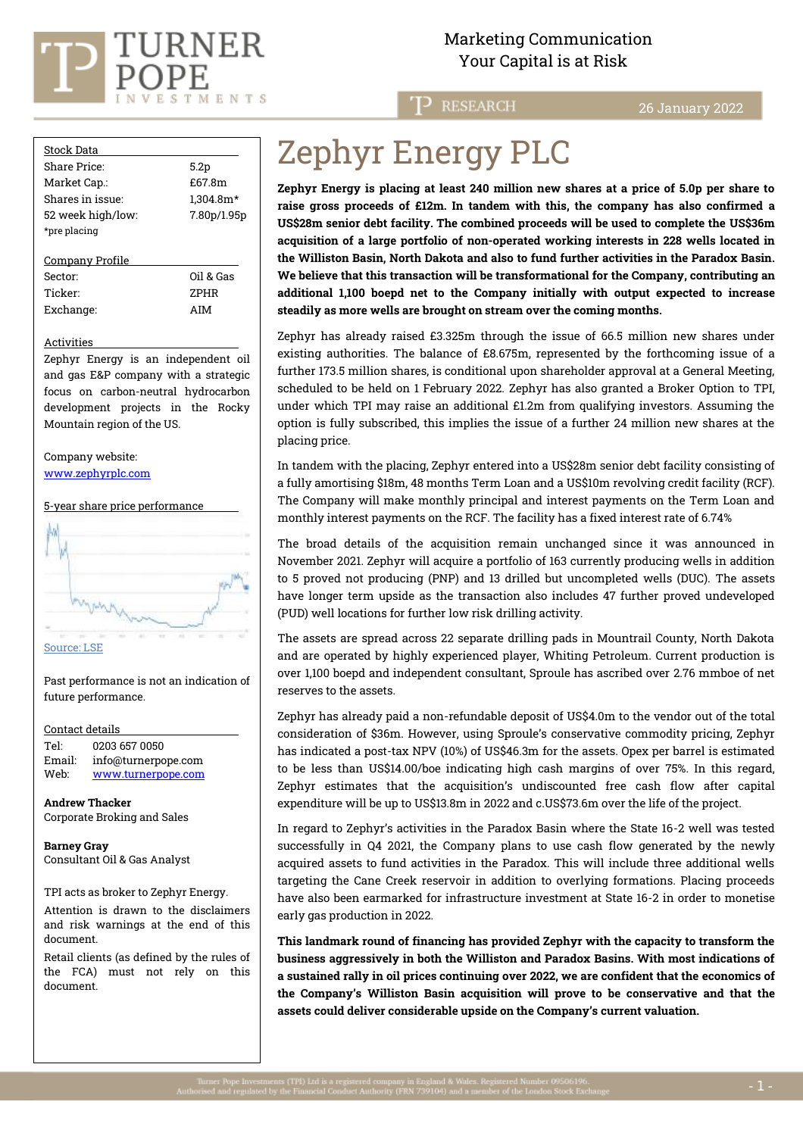

### Marketing Communication  $\text{VURNER}$  Marketing Communicat.<br>Your Capital is at Risk

T<sub>P</sub> RESEARCH

26 January 2022

| <b>Stock Data</b> |                  |  |  |
|-------------------|------------------|--|--|
| Share Price:      | 5.2 <sub>p</sub> |  |  |
| Market Cap.:      | £67.8m           |  |  |
| Shares in issue:  | 1,304.8m*        |  |  |
| 52 week high/low: | 7.80p/1.95p      |  |  |
| *pre placing      |                  |  |  |
| Company Profile   |                  |  |  |
| Sector:           | Oil & Gas        |  |  |
| Ticker:           | <b>ZPHR</b>      |  |  |
| Exchange:         | AIM              |  |  |

Activities

Zephyr Energy is an independent oil and gas E&P company with a strategic focus on carbon-neutral hydrocarbon development projects in the Rocky Mountain region of the US.

Company website: [www.zephyrplc.com](https://www.zephyrplc.com/)

5-year share price performance



Past performance is not an indication of future performance.

Contact details

Tel: [0203](tel:0203) 657 0050 Email: info@turnerpope.com Web: ww[w.turnerpope.c](http://www.turnerpope.com/)om

**Andrew Thacker** Corporate Broking and Sales

**Barney Gray** Consultant Oil & Gas Analyst

TPI acts as broker to Zephyr Energy.

Attention is drawn to the disclaimers and risk warnings at the end of this document.

Retail clients (as defined by the rules of the FCA) must not rely on this document.

# Zephyr Energy PLC

**Zephyr Energy is placing at least 240 million new shares at a price of 5.0p per share to raise gross proceeds of £12m. In tandem with this, the company has also confirmed a US\$28m senior debt facility. The combined proceeds will be used to complete the US\$36m acquisition of a large portfolio of non-operated working interests in 228 wells located in the Williston Basin, North Dakota and also to fund further activities in the Paradox Basin. We believe that this transaction will be transformational for the Company, contributing an additional 1,100 boepd net to the Company initially with output expected to increase steadily as more wells are brought on stream over the coming months.**

Zephyr has already raised £3.325m through the issue of 66.5 million new shares under existing authorities. The balance of £8.675m, represented by the forthcoming issue of a further 173.5 million shares, is conditional upon shareholder approval at a General Meeting, scheduled to be held on 1 February 2022. Zephyr has also granted a Broker Option to TPI, under which TPI may raise an additional £1.2m from qualifying investors. Assuming the option is fully subscribed, this implies the issue of a further 24 million new shares at the placing price.

In tandem with the placing, Zephyr entered into a US\$28m senior debt facility consisting of a fully amortising \$18m, 48 months Term Loan and a US\$10m revolving credit facility (RCF). The Company will make monthly principal and interest payments on the Term Loan and monthly interest payments on the RCF. The facility has a fixed interest rate of 6.74%

The broad details of the acquisition remain unchanged since it was announced in November 2021. Zephyr will acquire a portfolio of 163 currently producing wells in addition to 5 proved not producing (PNP) and 13 drilled but uncompleted wells (DUC). The assets have longer term upside as the transaction also includes 47 further proved undeveloped (PUD) well locations for further low risk drilling activity.

The assets are spread across 22 separate drilling pads in Mountrail County, North Dakota and are operated by highly experienced player, Whiting Petroleum. Current production is over 1,100 boepd and independent consultant, Sproule has ascribed over 2.76 mmboe of net reserves to the assets.

Zephyr has already paid a non-refundable deposit of US\$4.0m to the vendor out of the total consideration of \$36m. However, using Sproule's conservative commodity pricing, Zephyr has indicated a post-tax NPV (10%) of US\$46.3m for the assets. Opex per barrel is estimated to be less than US\$14.00/boe indicating high cash margins of over 75%. In this regard, Zephyr estimates that the acquisition's undiscounted free cash flow after capital expenditure will be up to US\$13.8m in 2022 and c.US\$73.6m over the life of the project.

In regard to Zephyr's activities in the Paradox Basin where the State 16-2 well was tested successfully in Q4 2021, the Company plans to use cash flow generated by the newly acquired assets to fund activities in the Paradox. This will include three additional wells targeting the Cane Creek reservoir in addition to overlying formations. Placing proceeds have also been earmarked for infrastructure investment at State 16-2 in order to monetise early gas production in 2022.

**This landmark round of financing has provided Zephyr with the capacity to transform the business aggressively in both the Williston and Paradox Basins. With most indications of a sustained rally in oil prices continuing over 2022, we are confident that the economics of the Company's Williston Basin acquisition will prove to be conservative and that the assets could deliver considerable upside on the Company's current valuation.**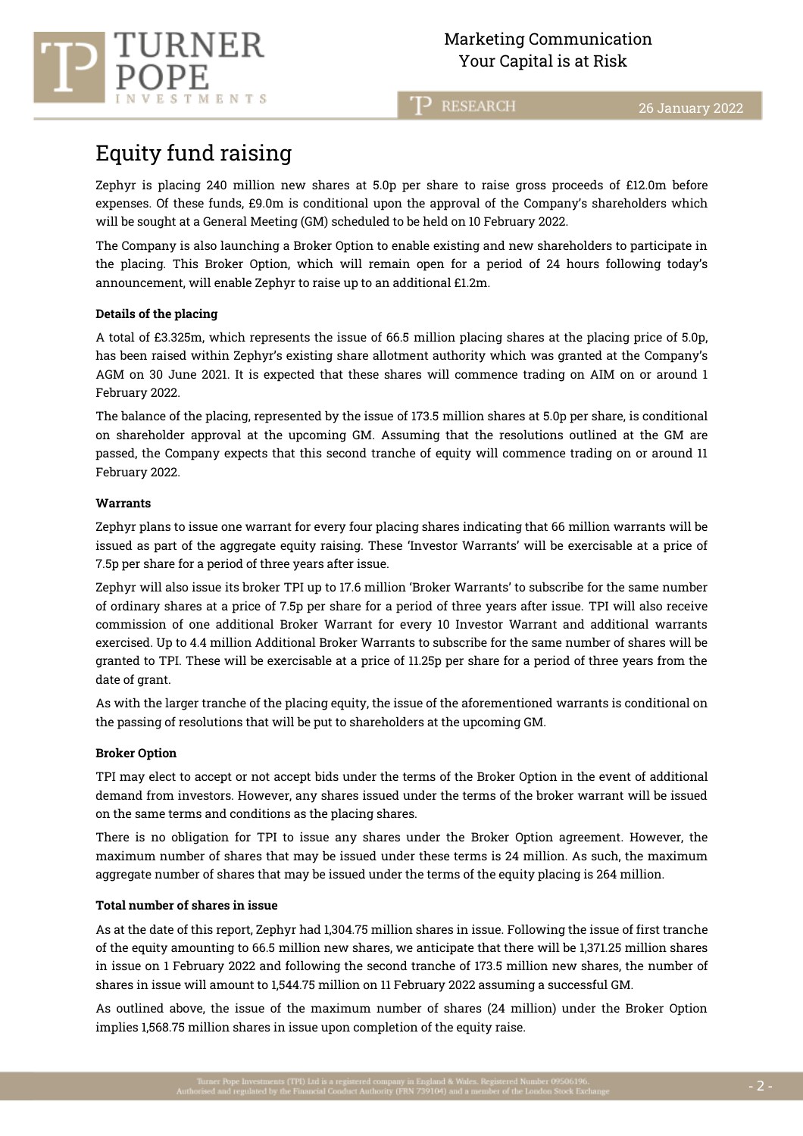**RESEARCH** ΠЭ

## Equity fund raising

TMENTS

Zephyr is placing 240 million new shares at 5.0p per share to raise gross proceeds of £12.0m before expenses. Of these funds, £9.0m is conditional upon the approval of the Company's shareholders which will be sought at a General Meeting (GM) scheduled to be held on 10 February 2022.

The Company is also launching a Broker Option to enable existing and new shareholders to participate in the placing. This Broker Option, which will remain open for a period of 24 hours following today's announcement, will enable Zephyr to raise up to an additional £1.2m.

#### **Details of the placing**

A total of £3.325m, which represents the issue of 66.5 million placing shares at the placing price of 5.0p, has been raised within Zephyr's existing share allotment authority which was granted at the Company's AGM on 30 June 2021. It is expected that these shares will commence trading on AIM on or around 1 February 2022.

The balance of the placing, represented by the issue of 173.5 million shares at 5.0p per share, is conditional on shareholder approval at the upcoming GM. Assuming that the resolutions outlined at the GM are passed, the Company expects that this second tranche of equity will commence trading on or around 11 February 2022.

#### **Warrants**

Zephyr plans to issue one warrant for every four placing shares indicating that 66 million warrants will be issued as part of the aggregate equity raising. These 'Investor Warrants' will be exercisable at a price of 7.5p per share for a period of three years after issue.

Zephyr will also issue its broker TPI up to 17.6 million 'Broker Warrants' to subscribe for the same number of ordinary shares at a price of 7.5p per share for a period of three years after issue. TPI will also receive commission of one additional Broker Warrant for every 10 Investor Warrant and additional warrants exercised. Up to 4.4 million Additional Broker Warrants to subscribe for the same number of shares will be granted to TPI. These will be exercisable at a price of 11.25p per share for a period of three years from the date of grant.

As with the larger tranche of the placing equity, the issue of the aforementioned warrants is conditional on the passing of resolutions that will be put to shareholders at the upcoming GM.

#### **Broker Option**

TPI may elect to accept or not accept bids under the terms of the Broker Option in the event of additional demand from investors. However, any shares issued under the terms of the broker warrant will be issued on the same terms and conditions as the placing shares.

There is no obligation for TPI to issue any shares under the Broker Option agreement. However, the maximum number of shares that may be issued under these terms is 24 million. As such, the maximum aggregate number of shares that may be issued under the terms of the equity placing is 264 million.

#### **Total number of shares in issue**

As at the date of this report, Zephyr had 1,304.75 million shares in issue. Following the issue of first tranche of the equity amounting to 66.5 million new shares, we anticipate that there will be 1,371.25 million shares in issue on 1 February 2022 and following the second tranche of 173.5 million new shares, the number of shares in issue will amount to 1,544.75 million on 11 February 2022 assuming a successful GM.

As outlined above, the issue of the maximum number of shares (24 million) under the Broker Option implies 1,568.75 million shares in issue upon completion of the equity raise.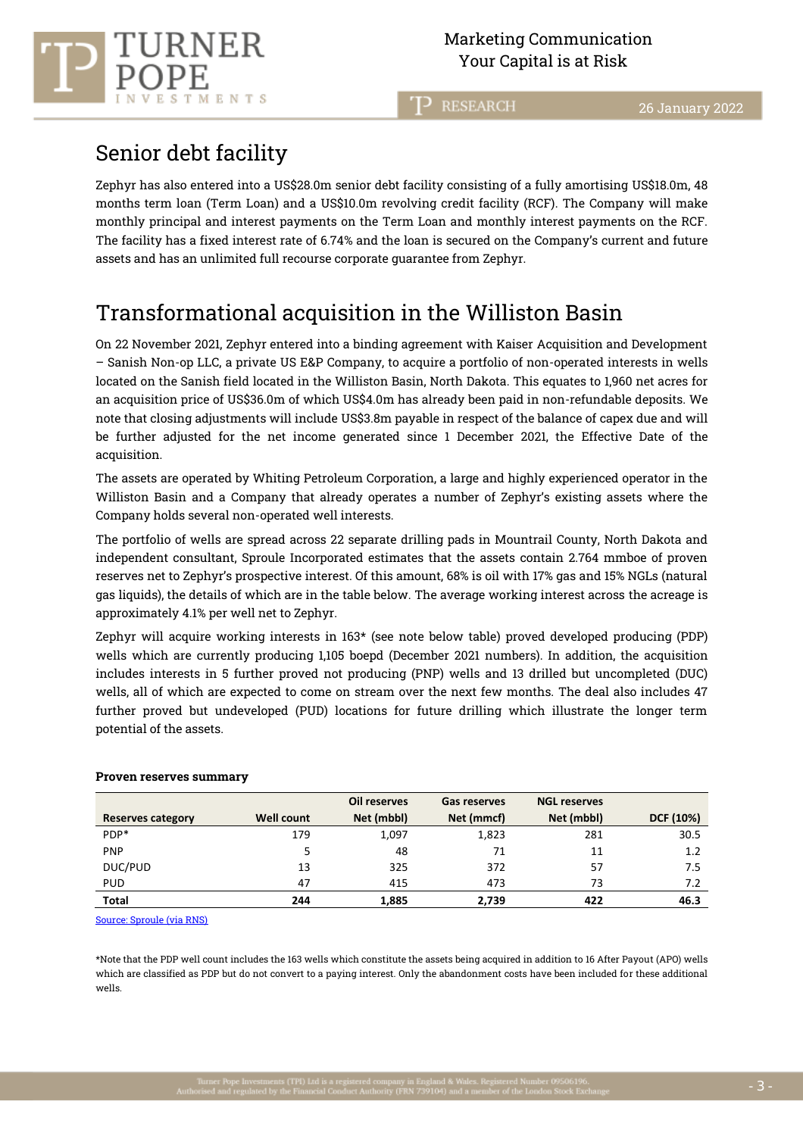**RESEARCH** 

## Senior debt facility

RNER

TMENTS

Zephyr has also entered into a US\$28.0m senior debt facility consisting of a fully amortising US\$18.0m, 48 months term loan (Term Loan) and a US\$10.0m revolving credit facility (RCF). The Company will make monthly principal and interest payments on the Term Loan and monthly interest payments on the RCF. The facility has a fixed interest rate of 6.74% and the loan is secured on the Company's current and future assets and has an unlimited full recourse corporate guarantee from Zephyr.

## Transformational acquisition in the Williston Basin

On 22 November 2021, Zephyr entered into a binding agreement with Kaiser Acquisition and Development – Sanish Non-op LLC, a private US E&P Company, to acquire a portfolio of non-operated interests in wells located on the Sanish field located in the Williston Basin, North Dakota. This equates to 1,960 net acres for an acquisition price of US\$36.0m of which US\$4.0m has already been paid in non-refundable deposits. We note that closing adjustments will include US\$3.8m payable in respect of the balance of capex due and will be further adjusted for the net income generated since 1 December 2021, the Effective Date of the acquisition.

The assets are operated by Whiting Petroleum Corporation, a large and highly experienced operator in the Williston Basin and a Company that already operates a number of Zephyr's existing assets where the Company holds several non-operated well interests.

The portfolio of wells are spread across 22 separate drilling pads in Mountrail County, North Dakota and independent consultant, Sproule Incorporated estimates that the assets contain 2.764 mmboe of proven reserves net to Zephyr's prospective interest. Of this amount, 68% is oil with 17% gas and 15% NGLs (natural gas liquids), the details of which are in the table below. The average working interest across the acreage is approximately 4.1% per well net to Zephyr.

Zephyr will acquire working interests in 163\* (see note below table) proved developed producing (PDP) wells which are currently producing 1,105 boepd (December 2021 numbers). In addition, the acquisition includes interests in 5 further proved not producing (PNP) wells and 13 drilled but uncompleted (DUC) wells, all of which are expected to come on stream over the next few months. The deal also includes 47 further proved but undeveloped (PUD) locations for future drilling which illustrate the longer term potential of the assets.

|                          |                   | Oil reserves | <b>Gas reserves</b> | <b>NGL reserves</b> |           |
|--------------------------|-------------------|--------------|---------------------|---------------------|-----------|
| <b>Reserves category</b> | <b>Well count</b> | Net (mbbl)   | Net (mmcf)          | Net (mbbl)          | DCF (10%) |
| PDP*                     | 179               | 1,097        | 1,823               | 281                 | 30.5      |
| <b>PNP</b>               | 5                 | 48           | 71                  | 11                  | 1.2       |
| DUC/PUD                  | 13                | 325          | 372                 | 57                  | 7.5       |
| <b>PUD</b>               | 47                | 415          | 473                 | 73                  | 7.2       |
| <b>Total</b>             | 244               | 1,885        | 2.739               | 422                 | 46.3      |

#### **Proven reserves summary**

[Source: Sproule](https://www.investegate.co.uk/zephyr-energy-plc--zphr-/rns/-36m-acquisition-of-non-operated-production-assets/202111220700080474T/) (via RNS)

\*Note that the PDP well count includes the 163 wells which constitute the assets being acquired in addition to 16 After Payout (APO) wells which are classified as PDP but do not convert to a paying interest. Only the abandonment costs have been included for these additional wells.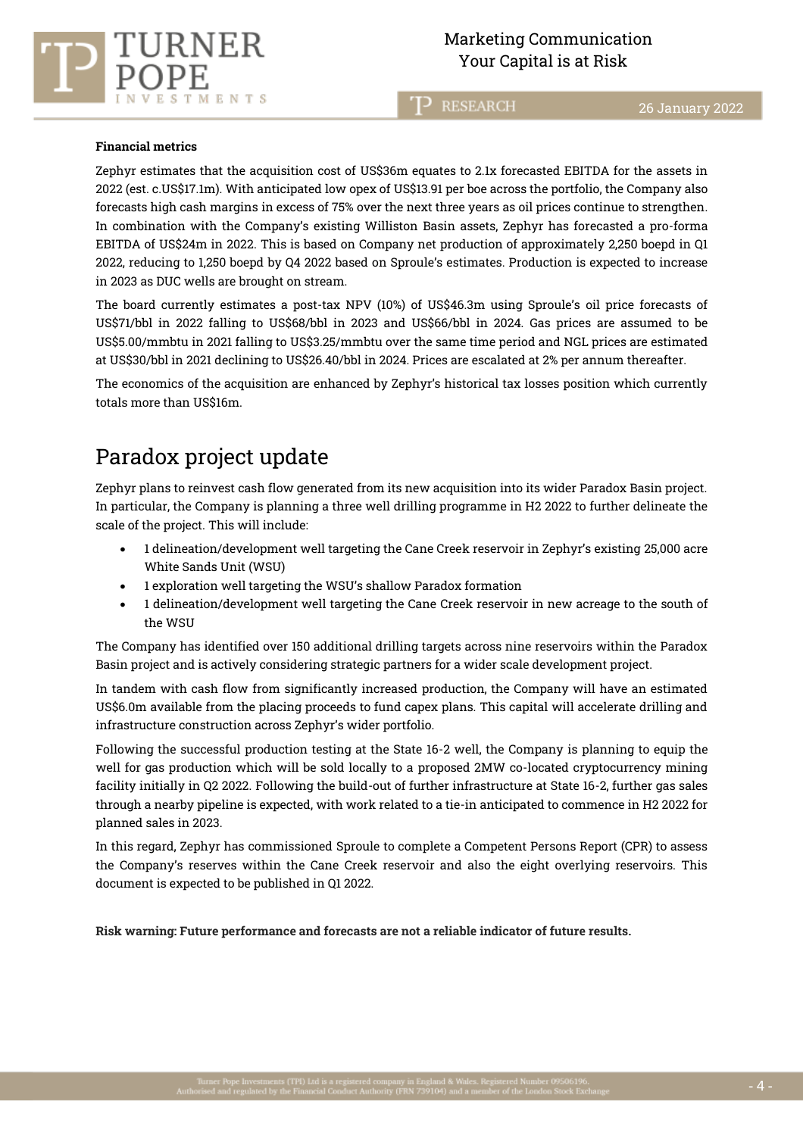



**RESEARCH** כד

#### **Financial metrics**

Zephyr estimates that the acquisition cost of US\$36m equates to 2.1x forecasted EBITDA for the assets in 2022 (est. c.US\$17.1m). With anticipated low opex of US\$13.91 per boe across the portfolio, the Company also forecasts high cash margins in excess of 75% over the next three years as oil prices continue to strengthen. In combination with the Company's existing Williston Basin assets, Zephyr has forecasted a pro-forma EBITDA of US\$24m in 2022. This is based on Company net production of approximately 2,250 boepd in Q1 2022, reducing to 1,250 boepd by Q4 2022 based on Sproule's estimates. Production is expected to increase in 2023 as DUC wells are brought on stream.

The board currently estimates a post-tax NPV (10%) of US\$46.3m using Sproule's oil price forecasts of US\$71/bbl in 2022 falling to US\$68/bbl in 2023 and US\$66/bbl in 2024. Gas prices are assumed to be US\$5.00/mmbtu in 2021 falling to US\$3.25/mmbtu over the same time period and NGL prices are estimated at US\$30/bbl in 2021 declining to US\$26.40/bbl in 2024. Prices are escalated at 2% per annum thereafter.

The economics of the acquisition are enhanced by Zephyr's historical tax losses position which currently totals more than US\$16m.

### Paradox project update

Zephyr plans to reinvest cash flow generated from its new acquisition into its wider Paradox Basin project. In particular, the Company is planning a three well drilling programme in H2 2022 to further delineate the scale of the project. This will include:

- 1 delineation/development well targeting the Cane Creek reservoir in Zephyr's existing 25,000 acre White Sands Unit (WSU)
- 1 exploration well targeting the WSU's shallow Paradox formation
- 1 delineation/development well targeting the Cane Creek reservoir in new acreage to the south of the WSU

The Company has identified over 150 additional drilling targets across nine reservoirs within the Paradox Basin project and is actively considering strategic partners for a wider scale development project.

In tandem with cash flow from significantly increased production, the Company will have an estimated US\$6.0m available from the placing proceeds to fund capex plans. This capital will accelerate drilling and infrastructure construction across Zephyr's wider portfolio.

Following the successful production testing at the State 16-2 well, the Company is planning to equip the well for gas production which will be sold locally to a proposed 2MW co-located cryptocurrency mining facility initially in Q2 2022. Following the build-out of further infrastructure at State 16-2, further gas sales through a nearby pipeline is expected, with work related to a tie-in anticipated to commence in H2 2022 for planned sales in 2023.

In this regard, Zephyr has commissioned Sproule to complete a Competent Persons Report (CPR) to assess the Company's reserves within the Cane Creek reservoir and also the eight overlying reservoirs. This document is expected to be published in Q1 2022.

**Risk warning: Future performance and forecasts are not a reliable indicator of future results.**